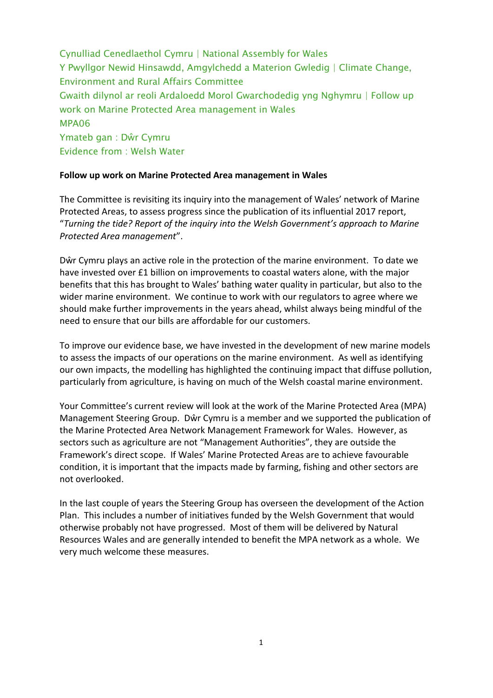Cynulliad Cenedlaethol Cymru | National Assembly for Wales Y Pwyllgor Newid Hinsawdd, Amgylchedd a Materion Gwledig | Climate Change, Environment and Rural Affairs Committee Gwaith dilynol ar reoli Ardaloedd Morol Gwarchodedig yng Nghymru | Follow up work on Marine Protected Area management in Wales MPA06 Ymateb gan : Dŵr Cymru Evidence from : Welsh Water

## **Follow up work on Marine Protected Area management in Wales**

The Committee is revisiting its inquiry into the management of Wales' network of Marine Protected Areas, to assess progress since the publication of its influential 2017 report, "*Turning the tide? Report of the inquiry into the Welsh Government's approach to Marine Protected Area management*".

Dŵr Cymru plays an active role in the protection of the marine environment. To date we have invested over £1 billion on improvements to coastal waters alone, with the major benefits that this has brought to Wales' bathing water quality in particular, but also to the wider marine environment. We continue to work with our regulators to agree where we should make further improvements in the years ahead, whilst always being mindful of the need to ensure that our bills are affordable for our customers.

To improve our evidence base, we have invested in the development of new marine models to assess the impacts of our operations on the marine environment. As well as identifying our own impacts, the modelling has highlighted the continuing impact that diffuse pollution, particularly from agriculture, is having on much of the Welsh coastal marine environment.

Your Committee's current review will look at the work of the Marine Protected Area (MPA) Management Steering Group. Dŵr Cymru is a member and we supported the publication of the Marine Protected Area Network Management Framework for Wales. However, as sectors such as agriculture are not "Management Authorities", they are outside the Framework's direct scope. If Wales' Marine Protected Areas are to achieve favourable condition, it is important that the impacts made by farming, fishing and other sectors are not overlooked.

In the last couple of years the Steering Group has overseen the development of the Action Plan. This includes a number of initiatives funded by the Welsh Government that would otherwise probably not have progressed. Most of them will be delivered by Natural Resources Wales and are generally intended to benefit the MPA network as a whole. We very much welcome these measures.